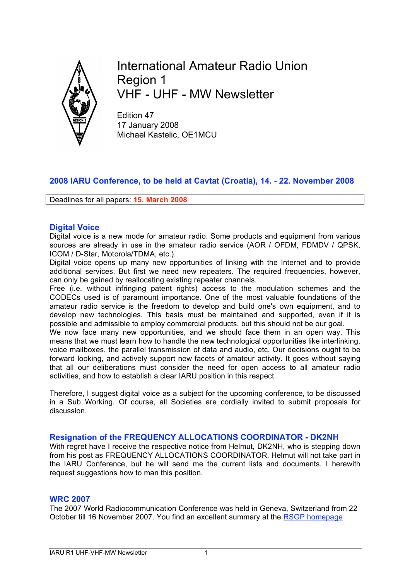

International Amateur Radio Union Region 1 VHF - UHF - MW Newsletter

Edition 47 17 January 2008 Michael Kastelic, OE1MCU

# **2008 IARU Conference, to be held at Cavtat (Croatia), 14. - 22. November 2008**

Deadlines for all papers: **15. March 2008**

# **Digital Voice**

Digital voice is a new mode for amateur radio. Some products and equipment from various sources are already in use in the amateur radio service (AOR / OFDM, FDMDV / QPSK, ICOM / D-Star, Motorola/TDMA, etc.).

Digital voice opens up many new opportunities of linking with the Internet and to provide additional services. But first we need new repeaters. The required frequencies, however, can only be gained by reallocating existing repeater channels.

Free (i.e. without infringing patent rights) access to the modulation schemes and the CODECs used is of paramount importance. One of the most valuable foundations of the amateur radio service is the freedom to develop and build one's own equipment, and to develop new technologies. This basis must be maintained and supported, even if it is possible and admissible to employ commercial products, but this should not be our goal.

We now face many new opportunities, and we should face them in an open way. This means that we must learn how to handle the new technological opportunities like interlinking, voice mailboxes, the parallel transmission of data and audio, etc. Our decisions ought to be forward looking, and actively support new facets of amateur activity. It goes without saying that all our deliberations must consider the need for open access to all amateur radio activities, and how to establish a clear IARU position in this respect.

Therefore, I suggest digital voice as a subject for the upcoming conference, to be discussed in a Sub Working. Of course, all Societies are cordially invited to submit proposals for discussion.

# **Resignation of the FREQUENCY ALLOCATIONS COORDINATOR - DK2NH**

With regret have I receive the respective notice from Helmut, DK2NH, who is stepping down from his post as FREQUENCY ALLOCATIONS COORDINATOR. Helmut will not take part in the IARU Conference, but he will send me the current lists and documents. I herewith request suggestions how to man this position.

#### **WRC 2007**

The 2007 World Radiocommunication Conference was held in Geneva, Switzerland from 22 October till 16 November 2007. You find an excellent summary at the RSGP homepage